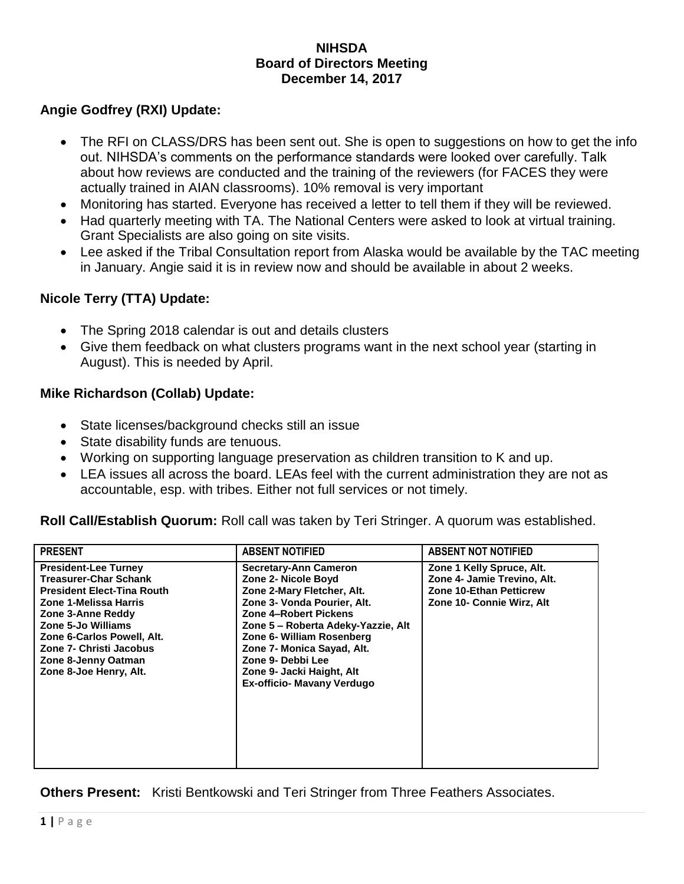#### **NIHSDA Board of Directors Meeting December 14, 2017**

# **Angie Godfrey (RXI) Update:**

- The RFI on CLASS/DRS has been sent out. She is open to suggestions on how to get the info out. NIHSDA's comments on the performance standards were looked over carefully. Talk about how reviews are conducted and the training of the reviewers (for FACES they were actually trained in AIAN classrooms). 10% removal is very important
- Monitoring has started. Everyone has received a letter to tell them if they will be reviewed.
- Had quarterly meeting with TA. The National Centers were asked to look at virtual training. Grant Specialists are also going on site visits.
- Lee asked if the Tribal Consultation report from Alaska would be available by the TAC meeting in January. Angie said it is in review now and should be available in about 2 weeks.

## **Nicole Terry (TTA) Update:**

- The Spring 2018 calendar is out and details clusters
- Give them feedback on what clusters programs want in the next school year (starting in August). This is needed by April.

#### **Mike Richardson (Collab) Update:**

- State licenses/background checks still an issue
- State disability funds are tenuous.
- Working on supporting language preservation as children transition to K and up.
- LEA issues all across the board. LEAs feel with the current administration they are not as accountable, esp. with tribes. Either not full services or not timely.

**Roll Call/Establish Quorum:** Roll call was taken by Teri Stringer. A quorum was established.

| <b>PRESENT</b>                                                                                                                                                                                                                                                                 | <b>ABSENT NOTIFIED</b>                                                                                                                                                                                                                                                                                                     | <b>ABSENT NOT NOTIFIED</b>                                                                                       |
|--------------------------------------------------------------------------------------------------------------------------------------------------------------------------------------------------------------------------------------------------------------------------------|----------------------------------------------------------------------------------------------------------------------------------------------------------------------------------------------------------------------------------------------------------------------------------------------------------------------------|------------------------------------------------------------------------------------------------------------------|
| <b>President-Lee Turney</b><br><b>Treasurer-Char Schank</b><br><b>President Elect-Tina Routh</b><br>Zone 1-Melissa Harris<br>Zone 3-Anne Reddy<br>Zone 5-Jo Williams<br>Zone 6-Carlos Powell, Alt.<br>Zone 7- Christi Jacobus<br>Zone 8-Jenny Oatman<br>Zone 8-Joe Henry, Alt. | <b>Secretary-Ann Cameron</b><br>Zone 2- Nicole Boyd<br>Zone 2-Mary Fletcher, Alt.<br>Zone 3- Vonda Pourier, Alt.<br>Zone 4-Robert Pickens<br>Zone 5 - Roberta Adeky-Yazzie, Alt<br>Zone 6- William Rosenberg<br>Zone 7- Monica Sayad, Alt.<br>Zone 9- Debbi Lee<br>Zone 9- Jacki Haight, Alt<br>Ex-officio- Mavany Verdugo | Zone 1 Kelly Spruce, Alt.<br>Zone 4- Jamie Trevino, Alt.<br>Zone 10-Ethan Petticrew<br>Zone 10- Connie Wirz, Alt |

#### **Others Present:** Kristi Bentkowski and Teri Stringer from Three Feathers Associates.